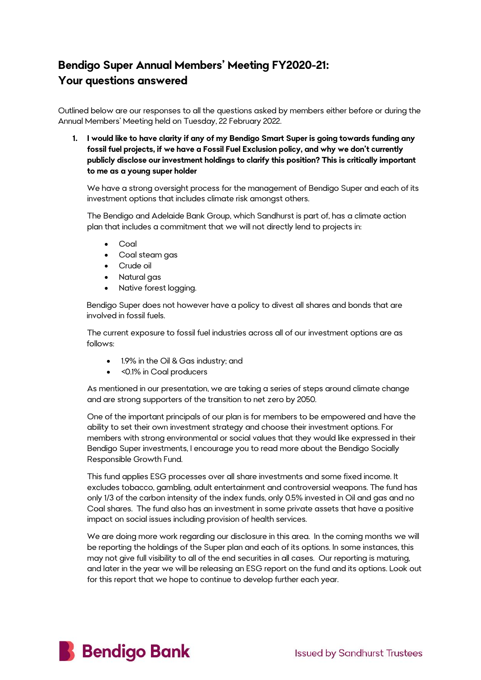## **Bendigo Super Annual Members' Meeting FY2020-21: Your questions answered**

Outlined below are our responses to all the questions asked by members either before or during the Annual Members' Meeting held on Tuesday, 22 February 2022.

**1. I would like to have clarity if any of my Bendigo Smart Super is going towards funding any fossil fuel projects, if we have a Fossil Fuel Exclusion policy, and why we don't currently publicly disclose our investment holdings to clarify this position? This is critically important to me as a young super holder**

We have a strong oversight process for the management of Bendigo Super and each of its investment options that includes climate risk amongst others.

The Bendigo and Adelaide Bank Group, which Sandhurst is part of, has a climate action plan that includes a commitment that we will not directly lend to projects in:

- Coal
- Coal steam gas
- Crude oil
- Natural gas
- Native forest logging.

Bendigo Super does not however have a policy to divest all shares and bonds that are involved in fossil fuels.

The current exposure to fossil fuel industries across all of our investment options are as follows:

- 1.9% in the Oil & Gas industry; and
- < 0.1% in Coal producers

As mentioned in our presentation, we are taking a series of steps around climate change and are strong supporters of the transition to net zero by 2050.

One of the important principals of our plan is for members to be empowered and have the ability to set their own investment strategy and choose their investment options. For members with strong environmental or social values that they would like expressed in their Bendigo Super investments, I encourage you to read more about the Bendigo Socially Responsible Growth Fund.

This fund applies ESG processes over all share investments and some fixed income. It excludes tobacco, gambling, adult entertainment and controversial weapons. The fund has only 1/3 of the carbon intensity of the index funds, only 0.5% invested in Oil and gas and no Coal shares. The fund also has an investment in some private assets that have a positive impact on social issues including provision of health services.

We are doing more work regarding our disclosure in this area. In the coming months we will be reporting the holdings of the Super plan and each of its options. In some instances, this may not give full visibility to all of the end securities in all cases. Our reporting is maturing, and later in the year we will be releasing an ESG report on the fund and its options. Look out for this report that we hope to continue to develop further each year.